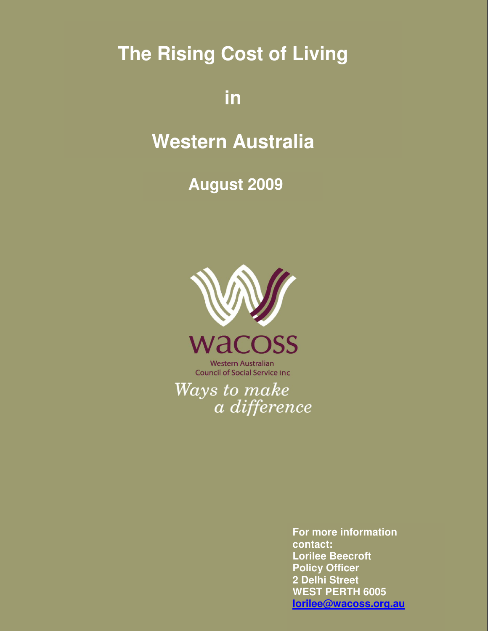**The Rising Cost of Living** 

# **in**

# **Western Australia**

**August 2009** 



**Western Australian Council of Social Service Inc** 

Ways to make a difference

> **For more information contact: Lorilee Beecroft Policy Officer 2 Delhi Street WEST PERTH 6005 lorilee@wacoss.org.au**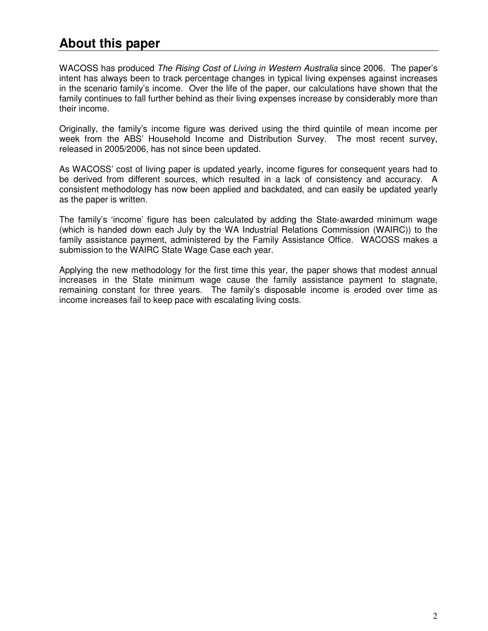### **About this paper**

WACOSS has produced The Rising Cost of Living in Western Australia since 2006. The paper's intent has always been to track percentage changes in typical living expenses against increases in the scenario family's income. Over the life of the paper, our calculations have shown that the family continues to fall further behind as their living expenses increase by considerably more than their income.

Originally, the family's income figure was derived using the third quintile of mean income per week from the ABS' Household Income and Distribution Survey. The most recent survey, released in 2005/2006, has not since been updated.

As WACOSS' cost of living paper is updated yearly, income figures for consequent years had to be derived from different sources, which resulted in a lack of consistency and accuracy. A consistent methodology has now been applied and backdated, and can easily be updated yearly as the paper is written.

The family's 'income' figure has been calculated by adding the State-awarded minimum wage (which is handed down each July by the WA Industrial Relations Commission (WAIRC)) to the family assistance payment, administered by the Family Assistance Office. WACOSS makes a submission to the WAIRC State Wage Case each year.

Applying the new methodology for the first time this year, the paper shows that modest annual increases in the State minimum wage cause the family assistance payment to stagnate, remaining constant for three years. The family's disposable income is eroded over time as income increases fail to keep pace with escalating living costs.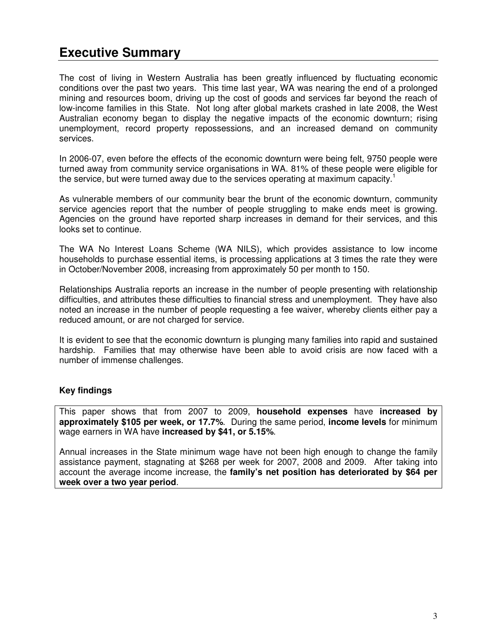# **Executive Summary**

The cost of living in Western Australia has been greatly influenced by fluctuating economic conditions over the past two years. This time last year, WA was nearing the end of a prolonged mining and resources boom, driving up the cost of goods and services far beyond the reach of low-income families in this State. Not long after global markets crashed in late 2008, the West Australian economy began to display the negative impacts of the economic downturn; rising unemployment, record property repossessions, and an increased demand on community services.

In 2006-07, even before the effects of the economic downturn were being felt, 9750 people were turned away from community service organisations in WA. 81% of these people were eligible for the service, but were turned away due to the services operating at maximum capacity.<sup>1</sup>

As vulnerable members of our community bear the brunt of the economic downturn, community service agencies report that the number of people struggling to make ends meet is growing. Agencies on the ground have reported sharp increases in demand for their services, and this looks set to continue.

The WA No Interest Loans Scheme (WA NILS), which provides assistance to low income households to purchase essential items, is processing applications at 3 times the rate they were in October/November 2008, increasing from approximately 50 per month to 150.

Relationships Australia reports an increase in the number of people presenting with relationship difficulties, and attributes these difficulties to financial stress and unemployment. They have also noted an increase in the number of people requesting a fee waiver, whereby clients either pay a reduced amount, or are not charged for service.

It is evident to see that the economic downturn is plunging many families into rapid and sustained hardship. Families that may otherwise have been able to avoid crisis are now faced with a number of immense challenges.

#### **Key findings**

This paper shows that from 2007 to 2009, **household expenses** have **increased by approximately \$105 per week, or 17.7%**. During the same period, **income levels** for minimum wage earners in WA have **increased by \$41, or 5.15%**.

Annual increases in the State minimum wage have not been high enough to change the family assistance payment, stagnating at \$268 per week for 2007, 2008 and 2009. After taking into account the average income increase, the **family's net position has deteriorated by \$64 per week over a two year period**.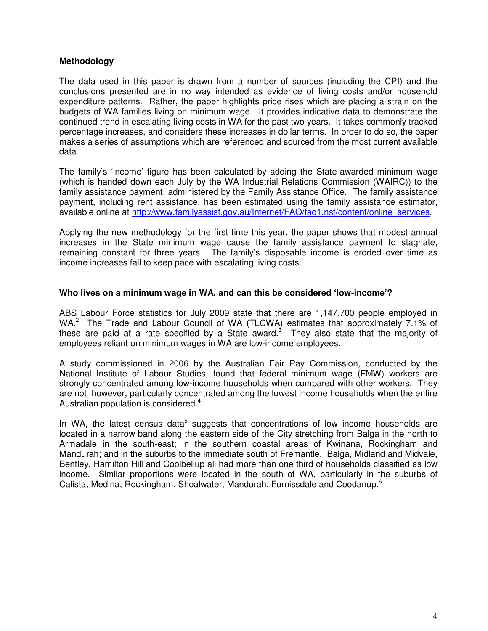#### **Methodology**

The data used in this paper is drawn from a number of sources (including the CPI) and the conclusions presented are in no way intended as evidence of living costs and/or household expenditure patterns. Rather, the paper highlights price rises which are placing a strain on the budgets of WA families living on minimum wage. It provides indicative data to demonstrate the continued trend in escalating living costs in WA for the past two years. It takes commonly tracked percentage increases, and considers these increases in dollar terms. In order to do so, the paper makes a series of assumptions which are referenced and sourced from the most current available data.

The family's 'income' figure has been calculated by adding the State-awarded minimum wage (which is handed down each July by the WA Industrial Relations Commission (WAIRC)) to the family assistance payment, administered by the Family Assistance Office. The family assistance payment, including rent assistance, has been estimated using the family assistance estimator, available online at http://www.familyassist.gov.au/Internet/FAO/fao1.nsf/content/online\_services.

Applying the new methodology for the first time this year, the paper shows that modest annual increases in the State minimum wage cause the family assistance payment to stagnate, remaining constant for three years. The family's disposable income is eroded over time as income increases fail to keep pace with escalating living costs.

#### **Who lives on a minimum wage in WA, and can this be considered 'low-income'?**

ABS Labour Force statistics for July 2009 state that there are 1,147,700 people employed in WA.<sup>2</sup> The Trade and Labour Council of WA (TLCWA) estimates that approximately 7.1% of these are paid at a rate specified by a State award.<sup>3</sup> They also state that the majority of employees reliant on minimum wages in WA are low-income employees.

A study commissioned in 2006 by the Australian Fair Pay Commission, conducted by the National Institute of Labour Studies, found that federal minimum wage (FMW) workers are strongly concentrated among low-income households when compared with other workers. They are not, however, particularly concentrated among the lowest income households when the entire Australian population is considered.<sup>4</sup>

In WA, the latest census data<sup>5</sup> suggests that concentrations of low income households are located in a narrow band along the eastern side of the City stretching from Balga in the north to Armadale in the south-east; in the southern coastal areas of Kwinana, Rockingham and Mandurah; and in the suburbs to the immediate south of Fremantle. Balga, Midland and Midvale, Bentley, Hamilton Hill and Coolbellup all had more than one third of households classified as low income. Similar proportions were located in the south of WA, particularly in the suburbs of Calista, Medina, Rockingham, Shoalwater, Mandurah, Furnissdale and Coodanup.<sup>6</sup>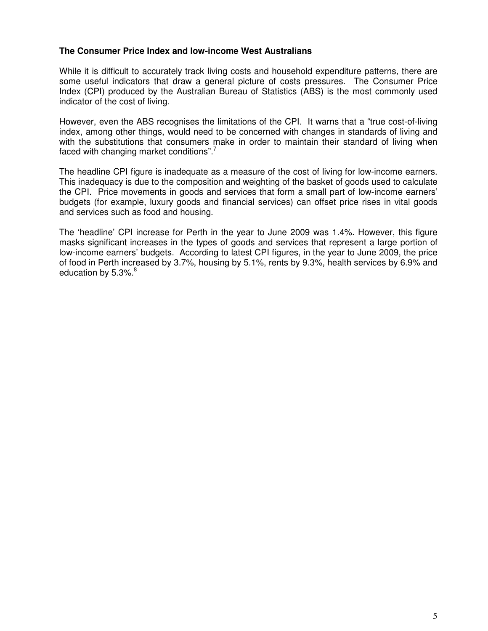#### **The Consumer Price Index and low-income West Australians**

While it is difficult to accurately track living costs and household expenditure patterns, there are some useful indicators that draw a general picture of costs pressures. The Consumer Price Index (CPI) produced by the Australian Bureau of Statistics (ABS) is the most commonly used indicator of the cost of living.

However, even the ABS recognises the limitations of the CPI. It warns that a "true cost-of-living index, among other things, would need to be concerned with changes in standards of living and with the substitutions that consumers make in order to maintain their standard of living when faced with changing market conditions".<sup>7</sup>

The headline CPI figure is inadequate as a measure of the cost of living for low-income earners. This inadequacy is due to the composition and weighting of the basket of goods used to calculate the CPI. Price movements in goods and services that form a small part of low-income earners' budgets (for example, luxury goods and financial services) can offset price rises in vital goods and services such as food and housing.

The 'headline' CPI increase for Perth in the year to June 2009 was 1.4%. However, this figure masks significant increases in the types of goods and services that represent a large portion of low-income earners' budgets. According to latest CPI figures, in the year to June 2009, the price of food in Perth increased by 3.7%, housing by 5.1%, rents by 9.3%, health services by 6.9% and education by  $5.3\%$ .<sup>8</sup>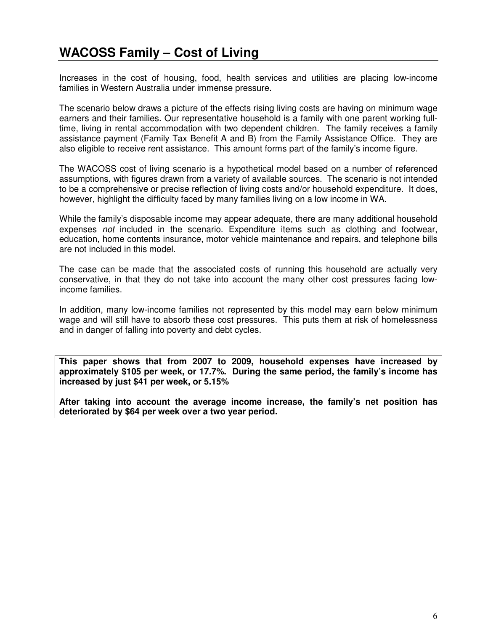Increases in the cost of housing, food, health services and utilities are placing low-income families in Western Australia under immense pressure.

The scenario below draws a picture of the effects rising living costs are having on minimum wage earners and their families. Our representative household is a family with one parent working fulltime, living in rental accommodation with two dependent children. The family receives a family assistance payment (Family Tax Benefit A and B) from the Family Assistance Office. They are also eligible to receive rent assistance. This amount forms part of the family's income figure.

The WACOSS cost of living scenario is a hypothetical model based on a number of referenced assumptions, with figures drawn from a variety of available sources. The scenario is not intended to be a comprehensive or precise reflection of living costs and/or household expenditure. It does, however, highlight the difficulty faced by many families living on a low income in WA.

While the family's disposable income may appear adequate, there are many additional household expenses not included in the scenario. Expenditure items such as clothing and footwear, education, home contents insurance, motor vehicle maintenance and repairs, and telephone bills are not included in this model.

The case can be made that the associated costs of running this household are actually very conservative, in that they do not take into account the many other cost pressures facing lowincome families.

In addition, many low-income families not represented by this model may earn below minimum wage and will still have to absorb these cost pressures. This puts them at risk of homelessness and in danger of falling into poverty and debt cycles.

**This paper shows that from 2007 to 2009, household expenses have increased by approximately \$105 per week, or 17.7%. During the same period, the family's income has increased by just \$41 per week, or 5.15%**

**After taking into account the average income increase, the family's net position has deteriorated by \$64 per week over a two year period.**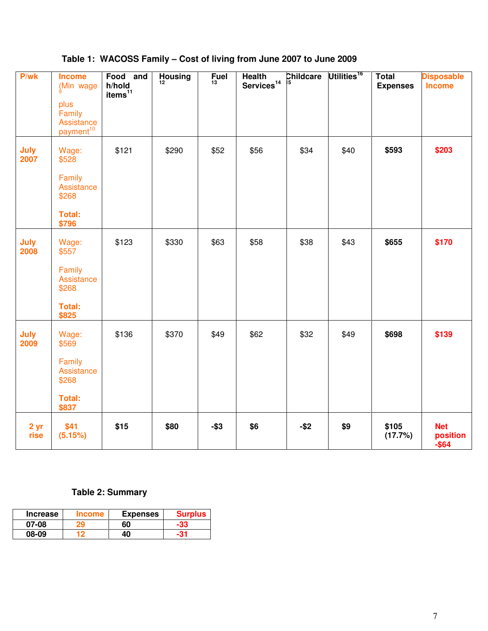| P/wk                    | <b>Income</b><br>(Min wage                            | Food and<br>h/hold  | <b>Housing</b><br>12 <sup>12</sup> | <b>Fuel</b><br>13 | <b>Health</b><br>$S$ ervices <sup>14</sup> | Childcare | Utilities <sup>16</sup> | <b>Total</b><br><b>Expenses</b> | <b>Disposable</b><br><b>Income</b> |
|-------------------------|-------------------------------------------------------|---------------------|------------------------------------|-------------------|--------------------------------------------|-----------|-------------------------|---------------------------------|------------------------------------|
|                         | plus<br>Family<br>Assistance<br>payment <sup>10</sup> | items <sup>11</sup> |                                    |                   |                                            |           |                         |                                 |                                    |
| July<br>2007            | Wage:<br>\$528                                        | \$121               | \$290                              | \$52              | \$56                                       | \$34      | \$40                    | \$593                           | \$203                              |
|                         | Family<br>Assistance<br>\$268                         |                     |                                    |                   |                                            |           |                         |                                 |                                    |
|                         | <b>Total:</b><br>\$796                                |                     |                                    |                   |                                            |           |                         |                                 |                                    |
| July<br>2008            | Wage:<br>\$557                                        | \$123               | \$330                              | \$63              | \$58                                       | \$38      | \$43                    | \$655                           | \$170                              |
|                         | Family<br>Assistance<br>\$268                         |                     |                                    |                   |                                            |           |                         |                                 |                                    |
|                         | <b>Total:</b><br>\$825                                |                     |                                    |                   |                                            |           |                         |                                 |                                    |
| July<br>2009            | Wage:<br>\$569                                        | \$136               | \$370                              | \$49              | \$62                                       | \$32      | \$49                    | \$698                           | \$139                              |
|                         | Family<br>Assistance<br>\$268                         |                     |                                    |                   |                                            |           |                         |                                 |                                    |
|                         | <b>Total:</b><br>\$837                                |                     |                                    |                   |                                            |           |                         |                                 |                                    |
| 2 <sub>yr</sub><br>rise | \$41<br>(5.15%)                                       | \$15                | \$80                               | $-$ \$3           | \$6                                        | $-$ \$2   | \$9                     | \$105<br>(17.7%)                | <b>Net</b><br>position<br>$-$ \$64 |

### **Table 1: WACOSS Family – Cost of living from June 2007 to June 2009**

### **Table 2: Summary**

| <b>Increase</b> | ncome | <b>Expenses</b> | <b>Surplus</b> |
|-----------------|-------|-----------------|----------------|
| 07-08           |       | 60              |                |
| 08-09           |       | 40              |                |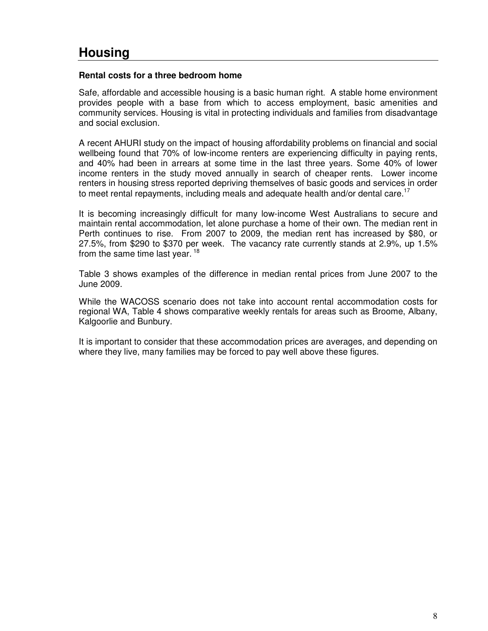# **Housing**

#### **Rental costs for a three bedroom home**

Safe, affordable and accessible housing is a basic human right. A stable home environment provides people with a base from which to access employment, basic amenities and community services. Housing is vital in protecting individuals and families from disadvantage and social exclusion.

A recent AHURI study on the impact of housing affordability problems on financial and social wellbeing found that 70% of low-income renters are experiencing difficulty in paying rents, and 40% had been in arrears at some time in the last three years. Some 40% of lower income renters in the study moved annually in search of cheaper rents. Lower income renters in housing stress reported depriving themselves of basic goods and services in order to meet rental repayments, including meals and adequate health and/or dental care.<sup>17</sup>

It is becoming increasingly difficult for many low-income West Australians to secure and maintain rental accommodation, let alone purchase a home of their own. The median rent in Perth continues to rise. From 2007 to 2009, the median rent has increased by \$80, or 27.5%, from \$290 to \$370 per week. The vacancy rate currently stands at 2.9%, up 1.5% from the same time last year.  $18$ 

Table 3 shows examples of the difference in median rental prices from June 2007 to the June 2009.

While the WACOSS scenario does not take into account rental accommodation costs for regional WA, Table 4 shows comparative weekly rentals for areas such as Broome, Albany, Kalgoorlie and Bunbury.

It is important to consider that these accommodation prices are averages, and depending on where they live, many families may be forced to pay well above these figures.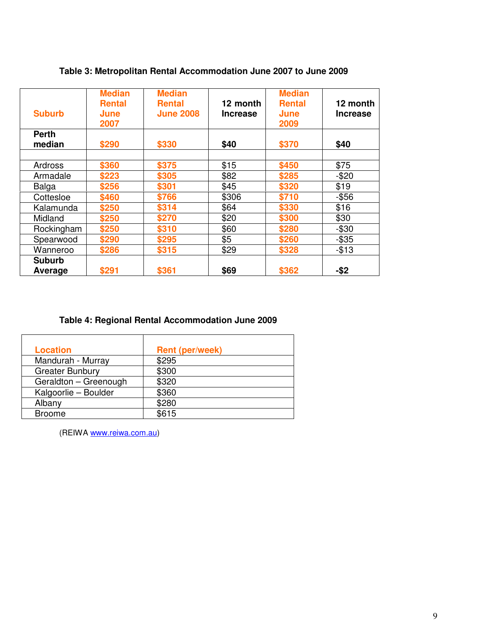| <b>Suburb</b>          | <b>Median</b><br><b>Rental</b><br>June<br>2007 | <b>Median</b><br><b>Rental</b><br><b>June 2008</b> | 12 month<br><b>Increase</b> | <b>Median</b><br><b>Rental</b><br>June<br>2009 | 12 month<br><b>Increase</b> |
|------------------------|------------------------------------------------|----------------------------------------------------|-----------------------------|------------------------------------------------|-----------------------------|
| <b>Perth</b><br>median | \$290                                          | \$330                                              | \$40                        | \$370                                          | \$40                        |
| Ardross                | \$360                                          | \$375                                              | \$15                        | \$450                                          | \$75                        |
| Armadale               | \$223                                          | \$305                                              | \$82                        | \$285                                          | $-$20$                      |
| Balga                  | \$256                                          | \$301                                              | \$45                        | \$320                                          | \$19                        |
| Cottesloe              | \$460                                          | \$766                                              | \$306                       | \$710                                          | $-$ \$56                    |
| Kalamunda              | \$250                                          | \$314                                              | \$64                        | \$330                                          | \$16                        |
| Midland                | \$250                                          | \$270                                              | \$20                        | \$300                                          | \$30                        |
| Rockingham             | \$250                                          | \$310                                              | \$60                        | \$280                                          | $-$ \$30                    |
| Spearwood              | \$290                                          | \$295                                              | \$5                         | \$260                                          | $-$ \$35                    |
| Wanneroo               | \$286                                          | \$315                                              | \$29                        | \$328                                          | $-$13$                      |
| <b>Suburb</b>          |                                                |                                                    |                             |                                                |                             |
| Average                | \$291                                          | \$361                                              | \$69                        | \$362                                          | $-$ \$2                     |

#### **Table 3: Metropolitan Rental Accommodation June 2007 to June 2009**

#### **Table 4: Regional Rental Accommodation June 2009**

| <b>Location</b>        | <b>Rent (per/week)</b> |
|------------------------|------------------------|
| Mandurah - Murray      | \$295                  |
| <b>Greater Bunbury</b> | \$300                  |
| Geraldton - Greenough  | \$320                  |
| Kalgoorlie - Boulder   | \$360                  |
| Albany                 | \$280                  |
| <b>Broome</b>          | \$615                  |

(REIWA www.reiwa.com.au)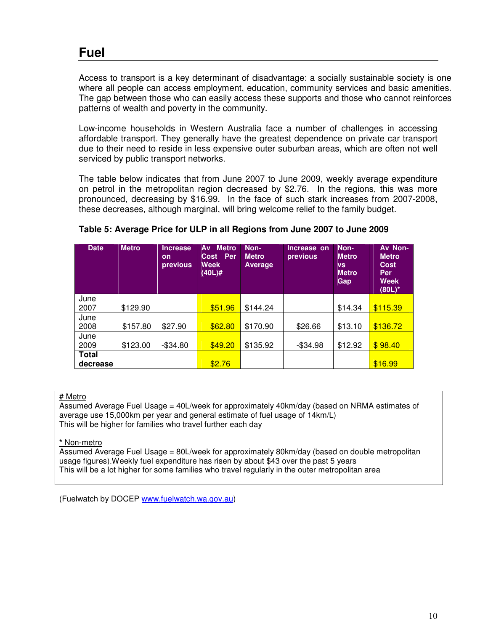## **Fuel**

Access to transport is a key determinant of disadvantage: a socially sustainable society is one where all people can access employment, education, community services and basic amenities. The gap between those who can easily access these supports and those who cannot reinforces patterns of wealth and poverty in the community.

Low-income households in Western Australia face a number of challenges in accessing affordable transport. They generally have the greatest dependence on private car transport due to their need to reside in less expensive outer suburban areas, which are often not well serviced by public transport networks.

The table below indicates that from June 2007 to June 2009, weekly average expenditure on petrol in the metropolitan region decreased by \$2.76. In the regions, this was more pronounced, decreasing by \$16.99. In the face of such stark increases from 2007-2008, these decreases, although marginal, will bring welcome relief to the family budget.

| <b>Date</b>  | <b>Metro</b> | <b>Increase</b><br><b>on</b><br>previous | <b>Av Metro</b><br>Cost Per<br><b>Week</b><br>$(40L)$ # | Non-<br><b>Metro</b><br><b>Average</b> | Increase on<br>previous | Non-<br><b>Metro</b><br><b>VS</b><br><b>Metro</b><br>Gap | Av Non-<br><b>Metro</b><br><b>Cost</b><br>Per<br><b>Week</b><br>$(80L)^*$ |
|--------------|--------------|------------------------------------------|---------------------------------------------------------|----------------------------------------|-------------------------|----------------------------------------------------------|---------------------------------------------------------------------------|
| June<br>2007 | \$129.90     |                                          | \$51.96                                                 | \$144.24                               |                         | \$14.34                                                  | \$115.39                                                                  |
| June         |              |                                          |                                                         |                                        |                         |                                                          |                                                                           |
| 2008         | \$157.80     | \$27.90                                  | \$62.80                                                 | \$170.90                               | \$26.66                 | \$13.10                                                  | \$136.72                                                                  |
| June         |              |                                          |                                                         |                                        |                         |                                                          |                                                                           |
| 2009         | \$123.00     | $-$ \$34.80                              | \$49.20                                                 | \$135.92                               | $-$ \$34.98             | \$12.92                                                  | \$98.40                                                                   |
| Total        |              |                                          |                                                         |                                        |                         |                                                          |                                                                           |
| decrease     |              |                                          | \$2.76                                                  |                                        |                         |                                                          | \$16.99                                                                   |

#### **Table 5: Average Price for ULP in all Regions from June 2007 to June 2009**

#### # Metro

Assumed Average Fuel Usage = 40L/week for approximately 40km/day (based on NRMA estimates of average use 15,000km per year and general estimate of fuel usage of 14km/L) This will be higher for families who travel further each day

#### **\*** Non-metro

Assumed Average Fuel Usage = 80L/week for approximately 80km/day (based on double metropolitan usage figures).Weekly fuel expenditure has risen by about \$43 over the past 5 years This will be a lot higher for some families who travel regularly in the outer metropolitan area

(Fuelwatch by DOCEP www.fuelwatch.wa.gov.au)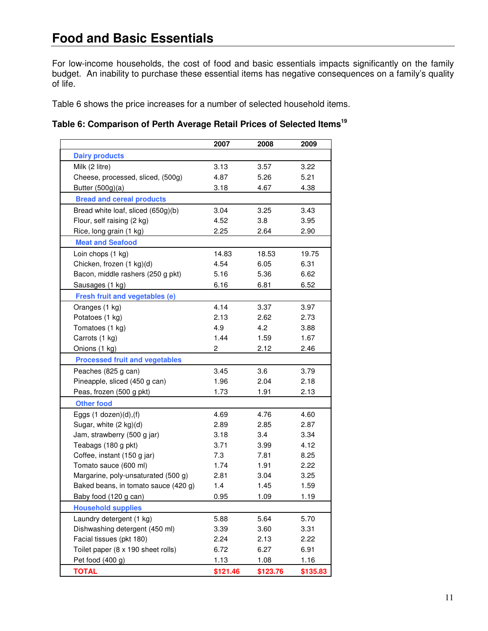### **Food and Basic Essentials**

For low-income households, the cost of food and basic essentials impacts significantly on the family budget. An inability to purchase these essential items has negative consequences on a family's quality of life.

Table 6 shows the price increases for a number of selected household items.

### **Table 6: Comparison of Perth Average Retail Prices of Selected Items<sup>19</sup>**

|                                       | 2007     | 2008     | 2009     |
|---------------------------------------|----------|----------|----------|
| <b>Dairy products</b>                 |          |          |          |
| Milk (2 litre)                        | 3.13     | 3.57     | 3.22     |
| Cheese, processed, sliced, (500g)     | 4.87     | 5.26     | 5.21     |
| Butter (500g)(a)                      | 3.18     | 4.67     | 4.38     |
| <b>Bread and cereal products</b>      |          |          |          |
| Bread white loaf, sliced (650g)(b)    | 3.04     | 3.25     | 3.43     |
| Flour, self raising (2 kg)            | 4.52     | 3.8      | 3.95     |
| Rice, long grain (1 kg)               | 2.25     | 2.64     | 2.90     |
| <b>Meat and Seafood</b>               |          |          |          |
| Loin chops (1 kg)                     | 14.83    | 18.53    | 19.75    |
| Chicken, frozen (1 kg)(d)             | 4.54     | 6.05     | 6.31     |
| Bacon, middle rashers (250 g pkt)     | 5.16     | 5.36     | 6.62     |
| Sausages (1 kg)                       | 6.16     | 6.81     | 6.52     |
| Fresh fruit and vegetables (e)        |          |          |          |
| Oranges (1 kg)                        | 4.14     | 3.37     | 3.97     |
| Potatoes (1 kg)                       | 2.13     | 2.62     | 2.73     |
| Tomatoes (1 kg)                       | 4.9      | 4.2      | 3.88     |
| Carrots (1 kg)                        | 1.44     | 1.59     | 1.67     |
| Onions (1 kg)                         | 2        | 2.12     | 2.46     |
| <b>Processed fruit and vegetables</b> |          |          |          |
| Peaches (825 g can)                   | 3.45     | 3.6      | 3.79     |
| Pineapple, sliced (450 g can)         | 1.96     | 2.04     | 2.18     |
| Peas, frozen (500 g pkt)              | 1.73     | 1.91     | 2.13     |
| <b>Other food</b>                     |          |          |          |
| Eggs $(1$ dozen $)(d)$ , $(f)$        | 4.69     | 4.76     | 4.60     |
| Sugar, white (2 kg)(d)                | 2.89     | 2.85     | 2.87     |
| Jam, strawberry (500 g jar)           | 3.18     | 3.4      | 3.34     |
| Teabags (180 g pkt)                   | 3.71     | 3.99     | 4.12     |
| Coffee, instant (150 g jar)           | 7.3      | 7.81     | 8.25     |
| Tomato sauce (600 ml)                 | 1.74     | 1.91     | 2.22     |
| Margarine, poly-unsaturated (500 g)   | 2.81     | 3.04     | 3.25     |
| Baked beans, in tomato sauce (420 g)  | 1.4      | 1.45     | 1.59     |
| Baby food (120 g can)                 | 0.95     | 1.09     | 1.19     |
| <b>Household supplies</b>             |          |          |          |
| Laundry detergent (1 kg)              | 5.88     | 5.64     | 5.70     |
| Dishwashing detergent (450 ml)        | 3.39     | 3.60     | 3.31     |
| Facial tissues (pkt 180)              | 2.24     | 2.13     | 2.22     |
| Toilet paper (8 x 190 sheet rolls)    | 6.72     | 6.27     | 6.91     |
| Pet food (400 g)                      | 1.13     | 1.08     | 1.16     |
| <b>TOTAL</b>                          | \$121.46 | \$123.76 | \$135.83 |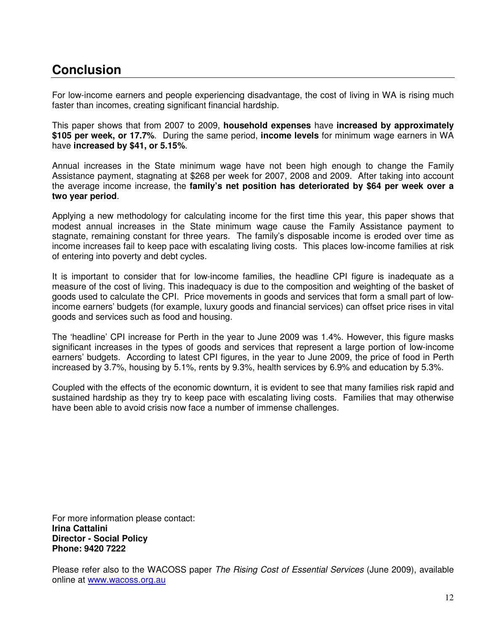## **Conclusion**

For low-income earners and people experiencing disadvantage, the cost of living in WA is rising much faster than incomes, creating significant financial hardship.

This paper shows that from 2007 to 2009, **household expenses** have **increased by approximately \$105 per week, or 17.7%**. During the same period, **income levels** for minimum wage earners in WA have **increased by \$41, or 5.15%**.

Annual increases in the State minimum wage have not been high enough to change the Family Assistance payment, stagnating at \$268 per week for 2007, 2008 and 2009. After taking into account the average income increase, the **family's net position has deteriorated by \$64 per week over a two year period**.

Applying a new methodology for calculating income for the first time this year, this paper shows that modest annual increases in the State minimum wage cause the Family Assistance payment to stagnate, remaining constant for three years. The family's disposable income is eroded over time as income increases fail to keep pace with escalating living costs. This places low-income families at risk of entering into poverty and debt cycles.

It is important to consider that for low-income families, the headline CPI figure is inadequate as a measure of the cost of living. This inadequacy is due to the composition and weighting of the basket of goods used to calculate the CPI. Price movements in goods and services that form a small part of lowincome earners' budgets (for example, luxury goods and financial services) can offset price rises in vital goods and services such as food and housing.

The 'headline' CPI increase for Perth in the year to June 2009 was 1.4%. However, this figure masks significant increases in the types of goods and services that represent a large portion of low-income earners' budgets. According to latest CPI figures, in the year to June 2009, the price of food in Perth increased by 3.7%, housing by 5.1%, rents by 9.3%, health services by 6.9% and education by 5.3%.

Coupled with the effects of the economic downturn, it is evident to see that many families risk rapid and sustained hardship as they try to keep pace with escalating living costs. Families that may otherwise have been able to avoid crisis now face a number of immense challenges.

For more information please contact: **Irina Cattalini Director - Social Policy Phone: 9420 7222** 

Please refer also to the WACOSS paper The Rising Cost of Essential Services (June 2009), available online at www.wacoss.org.au